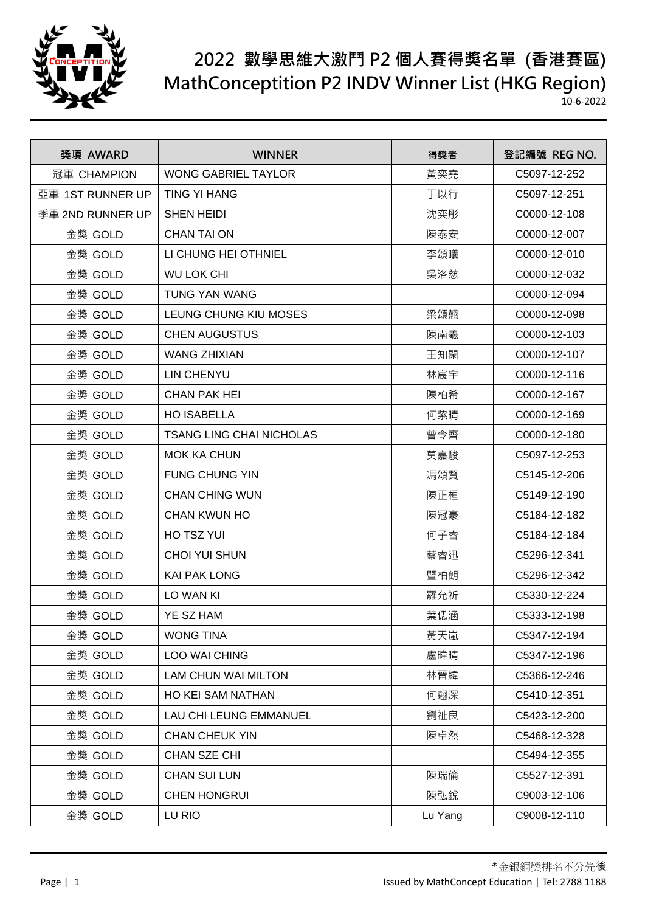

| 獎項 AWARD         | <b>WINNER</b>                   | 得獎者     | 登記編號 REG NO. |
|------------------|---------------------------------|---------|--------------|
| 冠軍 CHAMPION      | <b>WONG GABRIEL TAYLOR</b>      | 黃奕堯     | C5097-12-252 |
| 亞軍 1ST RUNNER UP | <b>TING YI HANG</b>             | 丁以行     | C5097-12-251 |
| 季軍 2ND RUNNER UP | <b>SHEN HEIDI</b>               | 沈奕彤     | C0000-12-108 |
| 金獎 GOLD          | <b>CHAN TAI ON</b>              | 陳泰安     | C0000-12-007 |
| 金獎 GOLD          | LI CHUNG HEI OTHNIEL            | 李頌曦     | C0000-12-010 |
| 金獎 GOLD          | <b>WU LOK CHI</b>               | 吳洛慈     | C0000-12-032 |
| 金獎 GOLD          | <b>TUNG YAN WANG</b>            |         | C0000-12-094 |
| 金獎 GOLD          | LEUNG CHUNG KIU MOSES           | 梁頌翹     | C0000-12-098 |
| 金獎 GOLD          | <b>CHEN AUGUSTUS</b>            | 陳南羲     | C0000-12-103 |
| 金獎 GOLD          | <b>WANG ZHIXIAN</b>             | 王知閑     | C0000-12-107 |
| 金獎 GOLD          | <b>LIN CHENYU</b>               | 林宸宇     | C0000-12-116 |
| 金獎 GOLD          | <b>CHAN PAK HEI</b>             | 陳柏希     | C0000-12-167 |
| 金獎 GOLD          | <b>HO ISABELLA</b>              | 何紫睛     | C0000-12-169 |
| 金獎 GOLD          | <b>TSANG LING CHAI NICHOLAS</b> | 曾令齊     | C0000-12-180 |
| 金獎 GOLD          | <b>MOK KA CHUN</b>              | 莫嘉駿     | C5097-12-253 |
| 金獎 GOLD          | <b>FUNG CHUNG YIN</b>           | 馮頌賢     | C5145-12-206 |
| 金獎 GOLD          | <b>CHAN CHING WUN</b>           | 陳正桓     | C5149-12-190 |
| 金獎 GOLD          | <b>CHAN KWUN HO</b>             | 陳冠豪     | C5184-12-182 |
| 金獎 GOLD          | HO TSZ YUI                      | 何子睿     | C5184-12-184 |
| 金獎 GOLD          | <b>CHOI YUI SHUN</b>            | 蔡睿迅     | C5296-12-341 |
| 金獎 GOLD          | <b>KAI PAK LONG</b>             | 暨柏朗     | C5296-12-342 |
| 金獎 GOLD          | LO WAN KI                       | 羅允祈     | C5330-12-224 |
| 金獎 GOLD          | YE SZ HAM                       | 葉偲涵     | C5333-12-198 |
| 金獎 GOLD          | <b>WONG TINA</b>                | 黃天嵐     | C5347-12-194 |
| 金獎 GOLD          | <b>LOO WAI CHING</b>            | 盧暐晴     | C5347-12-196 |
| 金獎 GOLD          | LAM CHUN WAI MILTON             | 林晉緯     | C5366-12-246 |
| 金獎 GOLD          | HO KEI SAM NATHAN               | 何翹深     | C5410-12-351 |
| 金獎 GOLD          | <b>LAU CHI LEUNG EMMANUEL</b>   | 劉祉良     | C5423-12-200 |
| 金獎 GOLD          | <b>CHAN CHEUK YIN</b>           | 陳卓然     | C5468-12-328 |
| 金獎 GOLD          | CHAN SZE CHI                    |         | C5494-12-355 |
| 金獎 GOLD          | <b>CHAN SUI LUN</b>             | 陳瑞倫     | C5527-12-391 |
| 金獎 GOLD          | <b>CHEN HONGRUI</b>             | 陳弘銳     | C9003-12-106 |
| 金獎 GOLD          | LU RIO                          | Lu Yang | C9008-12-110 |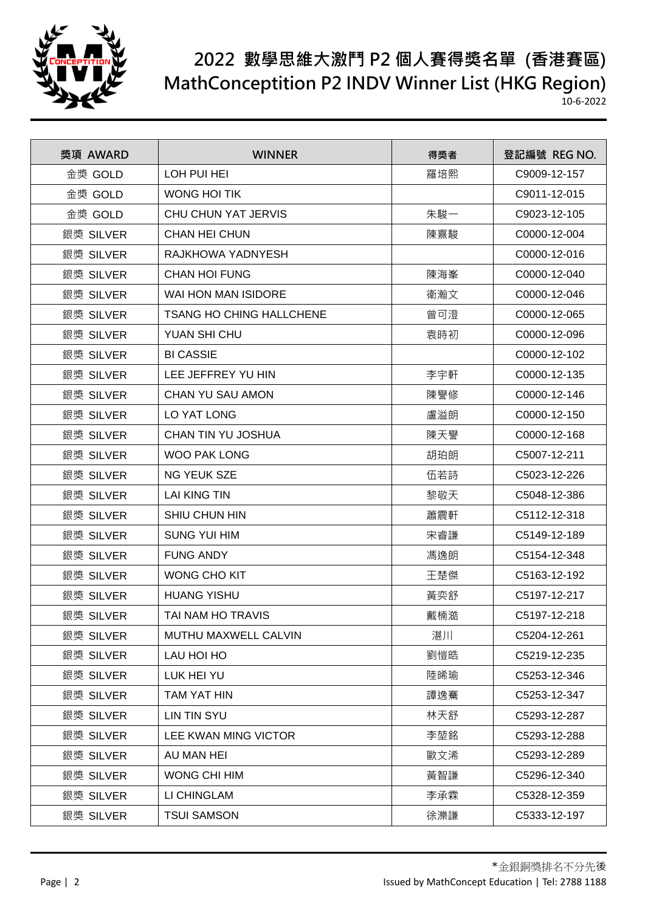

| 獎項 AWARD  | <b>WINNER</b>                   | 得獎者 | 登記編號 REG NO. |
|-----------|---------------------------------|-----|--------------|
| 金獎 GOLD   | LOH PUI HEI                     | 羅培熙 | C9009-12-157 |
| 金獎 GOLD   | <b>WONG HOI TIK</b>             |     | C9011-12-015 |
| 金獎 GOLD   | CHU CHUN YAT JERVIS             | 朱駿一 | C9023-12-105 |
| 銀獎 SILVER | <b>CHAN HEI CHUN</b>            | 陳熹駿 | C0000-12-004 |
| 銀獎 SILVER | RAJKHOWA YADNYESH               |     | C0000-12-016 |
| 銀獎 SILVER | <b>CHAN HOI FUNG</b>            | 陳海峯 | C0000-12-040 |
| 銀獎 SILVER | WAI HON MAN ISIDORE             | 衛瀚文 | C0000-12-046 |
| 銀獎 SILVER | <b>TSANG HO CHING HALLCHENE</b> | 曾可澄 | C0000-12-065 |
| 銀獎 SILVER | YUAN SHI CHU                    | 袁時初 | C0000-12-096 |
| 銀獎 SILVER | <b>BI CASSIE</b>                |     | C0000-12-102 |
| 銀獎 SILVER | LEE JEFFREY YU HIN              | 李宇軒 | C0000-12-135 |
| 銀獎 SILVER | CHAN YU SAU AMON                | 陳譽修 | C0000-12-146 |
| 銀獎 SILVER | LO YAT LONG                     | 盧溢朗 | C0000-12-150 |
| 銀獎 SILVER | CHAN TIN YU JOSHUA              | 陳天譽 | C0000-12-168 |
| 銀獎 SILVER | <b>WOO PAK LONG</b>             | 胡珀朗 | C5007-12-211 |
| 銀獎 SILVER | <b>NG YEUK SZE</b>              | 伍若詩 | C5023-12-226 |
| 銀獎 SILVER | <b>LAI KING TIN</b>             | 黎敬天 | C5048-12-386 |
| 銀獎 SILVER | <b>SHIU CHUN HIN</b>            | 蕭震軒 | C5112-12-318 |
| 銀獎 SILVER | <b>SUNG YUI HIM</b>             | 宋睿謙 | C5149-12-189 |
| 銀獎 SILVER | <b>FUNG ANDY</b>                | 馮逸朗 | C5154-12-348 |
| 銀獎 SILVER | WONG CHO KIT                    | 王楚傑 | C5163-12-192 |
| 銀獎 SILVER | <b>HUANG YISHU</b>              | 黃奕舒 | C5197-12-217 |
| 銀獎 SILVER | TAI NAM HO TRAVIS               | 戴楠澔 | C5197-12-218 |
| 銀獎 SILVER | MUTHU MAXWELL CALVIN            | 湛川  | C5204-12-261 |
| 銀獎 SILVER | LAU HOI HO                      | 劉愷晧 | C5219-12-235 |
| 銀獎 SILVER | LUK HEI YU                      | 陸晞瑜 | C5253-12-346 |
| 銀獎 SILVER | TAM YAT HIN                     | 譚逸騫 | C5253-12-347 |
| 銀獎 SILVER | <b>LIN TIN SYU</b>              | 林天舒 | C5293-12-287 |
| 銀獎 SILVER | LEE KWAN MING VICTOR            | 李堃銘 | C5293-12-288 |
| 銀獎 SILVER | AU MAN HEI                      | 歐文浠 | C5293-12-289 |
| 銀獎 SILVER | WONG CHI HIM                    | 黃智謙 | C5296-12-340 |
| 銀獎 SILVER | LI CHINGLAM                     | 李承霖 | C5328-12-359 |
| 銀獎 SILVER | <b>TSUI SAMSON</b>              | 徐濼謙 | C5333-12-197 |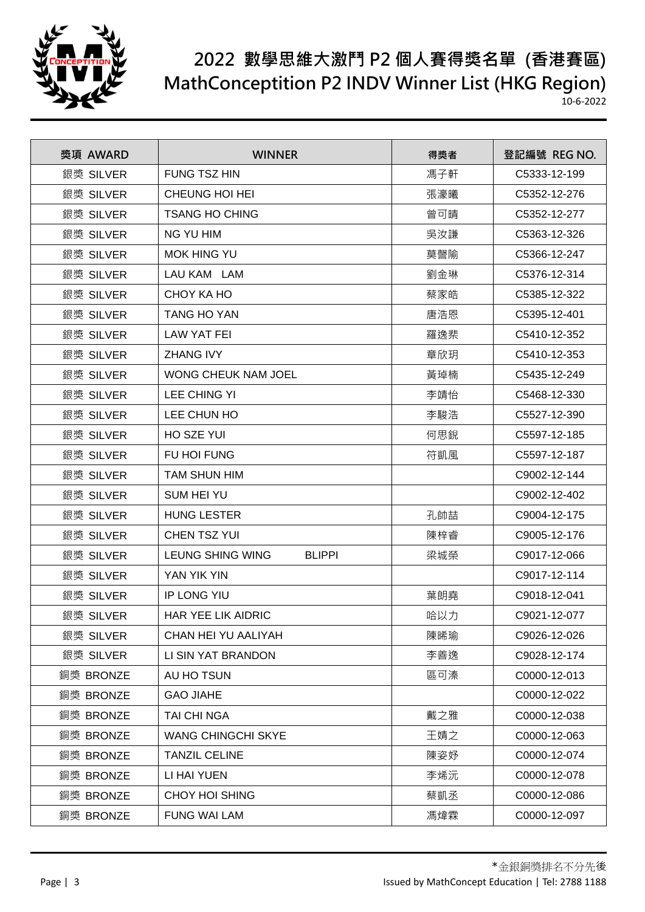

| 獎項 AWARD  | <b>WINNER</b>                            | 得獎者 | 登記編號 REG NO. |
|-----------|------------------------------------------|-----|--------------|
| 銀獎 SILVER | <b>FUNG TSZ HIN</b>                      | 馮子軒 | C5333-12-199 |
| 銀獎 SILVER | CHEUNG HOI HEI                           | 張濠曦 | C5352-12-276 |
| 銀獎 SILVER | <b>TSANG HO CHING</b>                    | 曾可晴 | C5352-12-277 |
| 銀獎 SILVER | <b>NG YU HIM</b>                         | 吳汝謙 | C5363-12-326 |
| 銀獎 SILVER | <b>MOK HING YU</b>                       | 莫謦隃 | C5366-12-247 |
| 銀獎 SILVER | LAU KAM LAM                              | 劉金琳 | C5376-12-314 |
| 銀獎 SILVER | CHOY KA HO                               | 蔡家皓 | C5385-12-322 |
| 銀獎 SILVER | <b>TANG HO YAN</b>                       | 唐浩恩 | C5395-12-401 |
| 銀獎 SILVER | <b>LAW YAT FEI</b>                       | 羅逸棐 | C5410-12-352 |
| 銀獎 SILVER | <b>ZHANG IVY</b>                         | 章欣玥 | C5410-12-353 |
| 銀獎 SILVER | <b>WONG CHEUK NAM JOEL</b>               | 黃琸楠 | C5435-12-249 |
| 銀獎 SILVER | LEE CHING YI                             | 李靖怡 | C5468-12-330 |
| 銀獎 SILVER | LEE CHUN HO                              | 李駿浩 | C5527-12-390 |
| 銀獎 SILVER | HO SZE YUI                               | 何思銳 | C5597-12-185 |
| 銀獎 SILVER | FU HOI FUNG                              | 符凱風 | C5597-12-187 |
| 銀獎 SILVER | <b>TAM SHUN HIM</b>                      |     | C9002-12-144 |
| 銀獎 SILVER | <b>SUM HEI YU</b>                        |     | C9002-12-402 |
| 銀獎 SILVER | <b>HUNG LESTER</b>                       | 孔帥喆 | C9004-12-175 |
| 銀獎 SILVER | CHEN TSZ YUI                             | 陳梓睿 | C9005-12-176 |
| 銀獎 SILVER | <b>LEUNG SHING WING</b><br><b>BLIPPI</b> | 梁城榮 | C9017-12-066 |
| 銀獎 SILVER | YAN YIK YIN                              |     | C9017-12-114 |
| 銀獎 SILVER | IP LONG YIU                              | 葉朗堯 | C9018-12-041 |
| 銀獎 SILVER | <b>HAR YEE LIK AIDRIC</b>                | 哈以力 | C9021-12-077 |
| 銀獎 SILVER | CHAN HEI YU AALIYAH                      | 陳晞瑜 | C9026-12-026 |
| 銀獎 SILVER | LI SIN YAT BRANDON                       | 李善逸 | C9028-12-174 |
| 銅獎 BRONZE | AU HO TSUN                               | 區可溱 | C0000-12-013 |
| 銅獎 BRONZE | <b>GAO JIAHE</b>                         |     | C0000-12-022 |
| 銅獎 BRONZE | TAI CHI NGA                              | 戴之雅 | C0000-12-038 |
| 銅獎 BRONZE | <b>WANG CHINGCHI SKYE</b>                | 王婧之 | C0000-12-063 |
| 銅獎 BRONZE | <b>TANZIL CELINE</b>                     | 陳姿妤 | C0000-12-074 |
| 銅獎 BRONZE | LI HAI YUEN                              | 李烯沅 | C0000-12-078 |
| 銅獎 BRONZE | CHOY HOI SHING                           | 蔡凱丞 | C0000-12-086 |
| 銅獎 BRONZE | <b>FUNG WAI LAM</b>                      | 馮煒霖 | C0000-12-097 |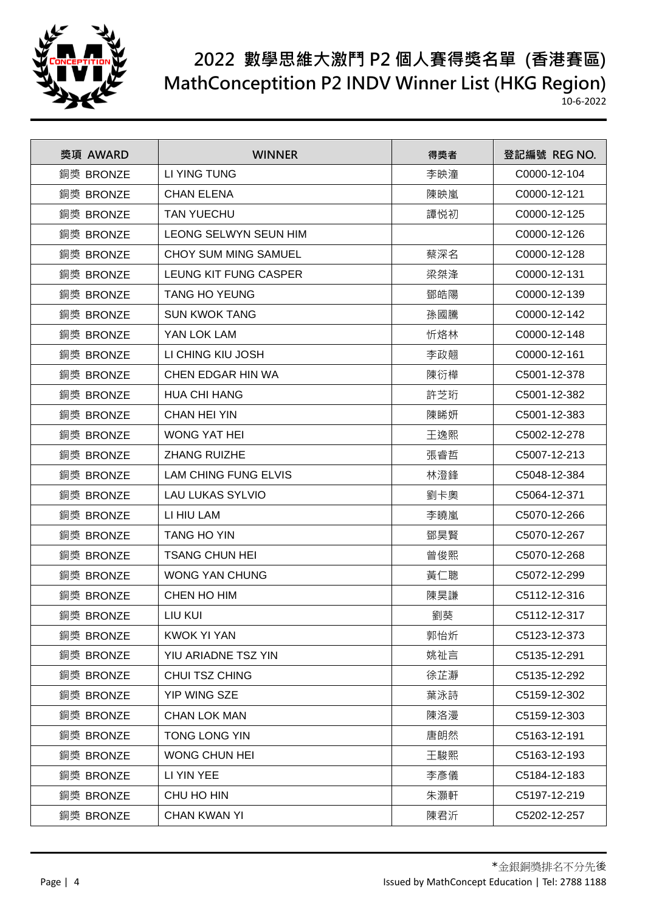

| 獎項 AWARD  | <b>WINNER</b>               | 得獎者 | 登記編號 REG NO. |
|-----------|-----------------------------|-----|--------------|
| 銅獎 BRONZE | LI YING TUNG                | 李映潼 | C0000-12-104 |
| 銅獎 BRONZE | <b>CHAN ELENA</b>           | 陳映嵐 | C0000-12-121 |
| 銅獎 BRONZE | <b>TAN YUECHU</b>           | 譚悦初 | C0000-12-125 |
| 銅獎 BRONZE | LEONG SELWYN SEUN HIM       |     | C0000-12-126 |
| 銅獎 BRONZE | CHOY SUM MING SAMUEL        | 蔡深名 | C0000-12-128 |
| 銅獎 BRONZE | LEUNG KIT FUNG CASPER       | 梁桀浲 | C0000-12-131 |
| 銅獎 BRONZE | <b>TANG HO YEUNG</b>        | 鄧皓陽 | C0000-12-139 |
| 銅獎 BRONZE | <b>SUN KWOK TANG</b>        | 孫國騰 | C0000-12-142 |
| 銅獎 BRONZE | YAN LOK LAM                 | 忻烙林 | C0000-12-148 |
| 銅獎 BRONZE | LI CHING KIU JOSH           | 李政翹 | C0000-12-161 |
| 銅獎 BRONZE | CHEN EDGAR HIN WA           | 陳衍樺 | C5001-12-378 |
| 銅獎 BRONZE | <b>HUA CHI HANG</b>         | 許芝珩 | C5001-12-382 |
| 銅獎 BRONZE | <b>CHAN HEI YIN</b>         | 陳睎妍 | C5001-12-383 |
| 銅獎 BRONZE | <b>WONG YAT HEI</b>         | 王逸熙 | C5002-12-278 |
| 銅獎 BRONZE | <b>ZHANG RUIZHE</b>         | 張睿哲 | C5007-12-213 |
| 銅獎 BRONZE | <b>LAM CHING FUNG ELVIS</b> | 林澄鋒 | C5048-12-384 |
| 銅獎 BRONZE | <b>LAU LUKAS SYLVIO</b>     | 劉卡奧 | C5064-12-371 |
| 銅獎 BRONZE | LI HIU LAM                  | 李曉嵐 | C5070-12-266 |
| 銅獎 BRONZE | <b>TANG HO YIN</b>          | 鄧昊賢 | C5070-12-267 |
| 銅獎 BRONZE | <b>TSANG CHUN HEI</b>       | 曾俊熙 | C5070-12-268 |
| 銅獎 BRONZE | <b>WONG YAN CHUNG</b>       | 黃仁聰 | C5072-12-299 |
| 銅獎 BRONZE | CHEN HO HIM                 | 陳昊謙 | C5112-12-316 |
| 銅獎 BRONZE | LIU KUI                     | 劉葵  | C5112-12-317 |
| 銅獎 BRONZE | <b>KWOK YI YAN</b>          | 郭怡炘 | C5123-12-373 |
| 銅獎 BRONZE | YIU ARIADNE TSZ YIN         | 姚祉言 | C5135-12-291 |
| 銅獎 BRONZE | CHUI TSZ CHING              | 徐芷瀞 | C5135-12-292 |
| 銅獎 BRONZE | YIP WING SZE                | 葉泳詩 | C5159-12-302 |
| 銅獎 BRONZE | <b>CHAN LOK MAN</b>         | 陳洛漫 | C5159-12-303 |
| 銅獎 BRONZE | TONG LONG YIN               | 唐朗然 | C5163-12-191 |
| 銅獎 BRONZE | <b>WONG CHUN HEI</b>        | 王駿熙 | C5163-12-193 |
| 銅獎 BRONZE | LI YIN YEE                  | 李彥儀 | C5184-12-183 |
| 銅獎 BRONZE | CHU HO HIN                  | 朱灝軒 | C5197-12-219 |
| 銅獎 BRONZE | <b>CHAN KWAN YI</b>         | 陳君沂 | C5202-12-257 |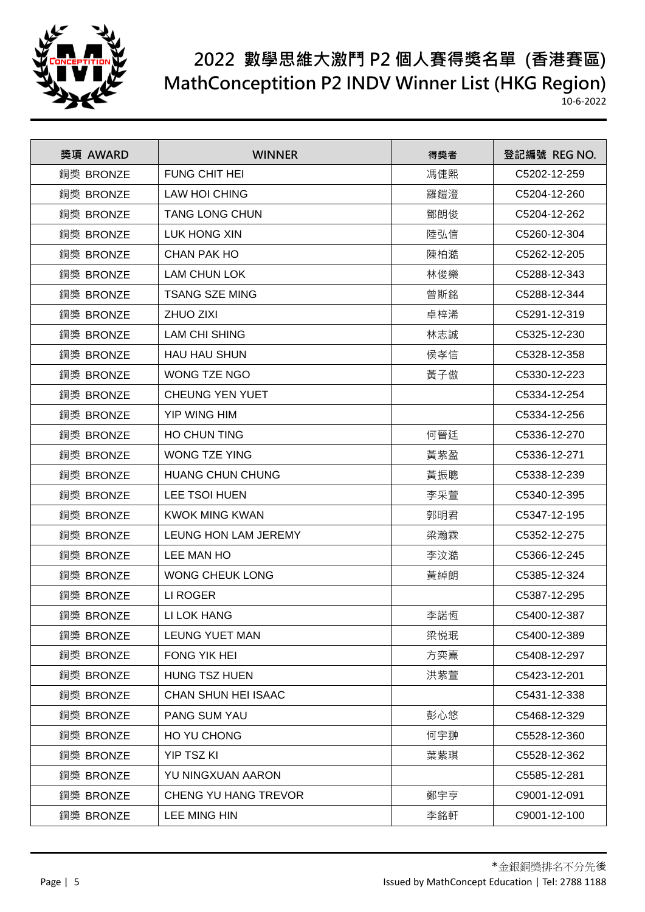

| 獎項 AWARD  | <b>WINNER</b>           | 得獎者 | 登記編號 REG NO. |
|-----------|-------------------------|-----|--------------|
| 銅獎 BRONZE | <b>FUNG CHIT HEI</b>    | 馮倢熙 | C5202-12-259 |
| 銅獎 BRONZE | <b>LAW HOI CHING</b>    | 羅鎧澄 | C5204-12-260 |
| 銅獎 BRONZE | <b>TANG LONG CHUN</b>   | 鄧朗俊 | C5204-12-262 |
| 銅獎 BRONZE | <b>LUK HONG XIN</b>     | 陸弘信 | C5260-12-304 |
| 銅獎 BRONZE | CHAN PAK HO             | 陳柏澔 | C5262-12-205 |
| 銅獎 BRONZE | <b>LAM CHUN LOK</b>     | 林俊樂 | C5288-12-343 |
| 銅獎 BRONZE | <b>TSANG SZE MING</b>   | 曾斯銘 | C5288-12-344 |
| 銅獎 BRONZE | <b>ZHUO ZIXI</b>        | 卓梓浠 | C5291-12-319 |
| 銅獎 BRONZE | <b>LAM CHI SHING</b>    | 林志誠 | C5325-12-230 |
| 銅獎 BRONZE | <b>HAU HAU SHUN</b>     | 侯孝信 | C5328-12-358 |
| 銅獎 BRONZE | WONG TZE NGO            | 黃子傲 | C5330-12-223 |
| 銅獎 BRONZE | <b>CHEUNG YEN YUET</b>  |     | C5334-12-254 |
| 銅獎 BRONZE | <b>YIP WING HIM</b>     |     | C5334-12-256 |
| 銅獎 BRONZE | <b>HO CHUN TING</b>     | 何晉廷 | C5336-12-270 |
| 銅獎 BRONZE | <b>WONG TZE YING</b>    | 黃紫盈 | C5336-12-271 |
| 銅獎 BRONZE | <b>HUANG CHUN CHUNG</b> | 黃振聰 | C5338-12-239 |
| 銅獎 BRONZE | LEE TSOI HUEN           | 李采萱 | C5340-12-395 |
| 銅獎 BRONZE | <b>KWOK MING KWAN</b>   | 郭明君 | C5347-12-195 |
| 銅獎 BRONZE | LEUNG HON LAM JEREMY    | 梁瀚霖 | C5352-12-275 |
| 銅獎 BRONZE | LEE MAN HO              | 李汶澔 | C5366-12-245 |
| 銅獎 BRONZE | <b>WONG CHEUK LONG</b>  | 黃綽朗 | C5385-12-324 |
| 銅獎 BRONZE | LI ROGER                |     | C5387-12-295 |
| 銅獎 BRONZE | LI LOK HANG             | 李諾恆 | C5400-12-387 |
| 銅獎 BRONZE | <b>LEUNG YUET MAN</b>   | 梁悦珉 | C5400-12-389 |
| 銅獎 BRONZE | FONG YIK HEI            | 方奕熹 | C5408-12-297 |
| 銅獎 BRONZE | <b>HUNG TSZ HUEN</b>    | 洪紫萱 | C5423-12-201 |
| 銅獎 BRONZE | CHAN SHUN HEI ISAAC     |     | C5431-12-338 |
| 銅獎 BRONZE | <b>PANG SUM YAU</b>     | 彭心悠 | C5468-12-329 |
| 銅獎 BRONZE | HO YU CHONG             | 何宇翀 | C5528-12-360 |
| 銅獎 BRONZE | <b>YIP TSZ KI</b>       | 葉紫琪 | C5528-12-362 |
| 銅獎 BRONZE | YU NINGXUAN AARON       |     | C5585-12-281 |
| 銅獎 BRONZE | CHENG YU HANG TREVOR    | 鄭宇亨 | C9001-12-091 |
| 銅獎 BRONZE | LEE MING HIN            | 李銘軒 | C9001-12-100 |